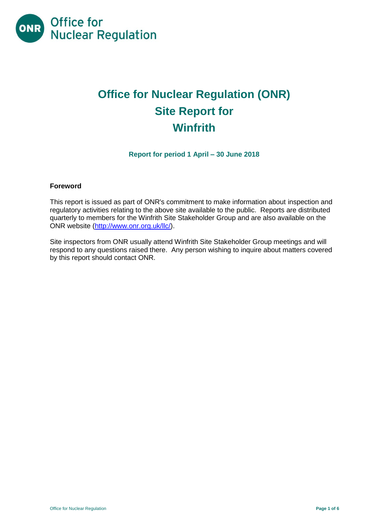

# **Office for Nuclear Regulation (ONR) Site Report for Winfrith**

**Report for period 1 April – 30 June 2018**

#### **Foreword**

This report is issued as part of ONR's commitment to make information about inspection and regulatory activities relating to the above site available to the public. Reports are distributed quarterly to members for the Winfrith Site Stakeholder Group and are also available on the ONR website [\(http://www.onr.org.uk/llc/\)](http://www.onr.org.uk/llc/).

Site inspectors from ONR usually attend Winfrith Site Stakeholder Group meetings and will respond to any questions raised there. Any person wishing to inquire about matters covered by this report should contact ONR.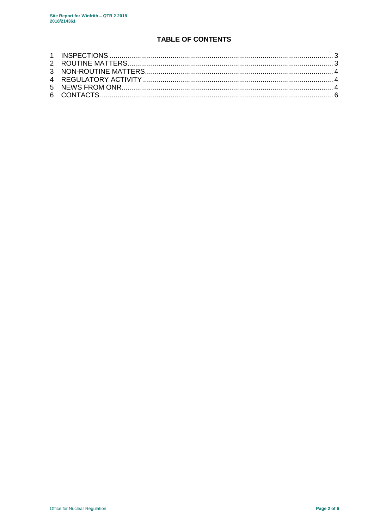# **TABLE OF CONTENTS**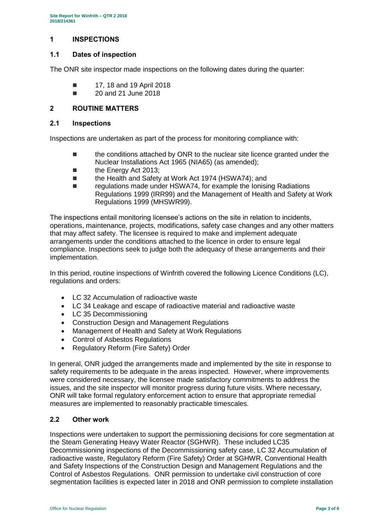#### <span id="page-2-0"></span>**1 INSPECTIONS**

#### **1.1 Dates of inspection**

The ONR site inspector made inspections on the following dates during the quarter:

- **17, 18 and 19 April 2018**
- 20 and 21 June 2018

#### <span id="page-2-1"></span>**2 ROUTINE MATTERS**

#### **2.1 Inspections**

Inspections are undertaken as part of the process for monitoring compliance with:

- the conditions attached by ONR to the nuclear site licence granted under the Nuclear Installations Act 1965 (NIA65) (as amended);
- the Energy Act 2013;
- the Health and Safety at Work Act 1974 (HSWA74); and
- regulations made under HSWA74, for example the Ionising Radiations Regulations 1999 (IRR99) and the Management of Health and Safety at Work Regulations 1999 (MHSWR99).

The inspections entail monitoring licensee's actions on the site in relation to incidents, operations, maintenance, projects, modifications, safety case changes and any other matters that may affect safety. The licensee is required to make and implement adequate arrangements under the conditions attached to the licence in order to ensure legal compliance. Inspections seek to judge both the adequacy of these arrangements and their implementation.

In this period, routine inspections of Winfrith covered the following Licence Conditions (LC), regulations and orders:

- LC 32 Accumulation of radioactive waste
- LC 34 Leakage and escape of radioactive material and radioactive waste
- LC 35 Decommissioning
- Construction Design and Management Regulations
- Management of Health and Safety at Work Regulations
- Control of Asbestos Regulations
- Regulatory Reform (Fire Safety) Order

In general, ONR judged the arrangements made and implemented by the site in response to safety requirements to be adequate in the areas inspected. However, where improvements were considered necessary, the licensee made satisfactory commitments to address the issues, and the site inspector will monitor progress during future visits. Where necessary, ONR will take formal regulatory enforcement action to ensure that appropriate remedial measures are implemented to reasonably practicable timescales.

#### **2.2 Other work**

Inspections were undertaken to support the permissioning decisions for core segmentation at the Steam Generating Heavy Water Reactor (SGHWR). These included LC35 Decommissioning inspections of the Decommissioning safety case, LC 32 Accumulation of radioactive waste, Regulatory Reform (Fire Safety) Order at SGHWR, Conventional Health and Safety Inspections of the Construction Design and Management Regulations and the Control of Asbestos Regulations. ONR permission to undertake civil construction of core segmentation facilities is expected later in 2018 and ONR permission to complete installation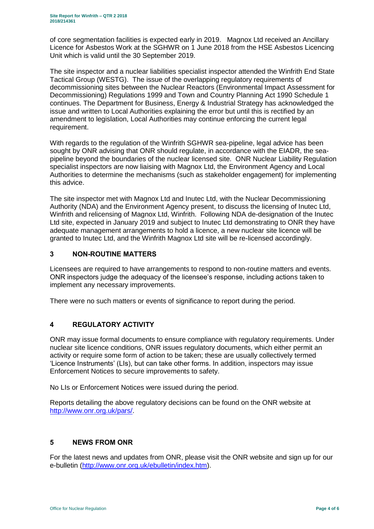of core segmentation facilities is expected early in 2019. Magnox Ltd received an Ancillary Licence for Asbestos Work at the SGHWR on 1 June 2018 from the HSE Asbestos Licencing Unit which is valid until the 30 September 2019.

The site inspector and a nuclear liabilities specialist inspector attended the Winfrith End State Tactical Group (WESTG). The issue of the overlapping regulatory requirements of decommissioning sites between the Nuclear Reactors (Environmental Impact Assessment for Decommissioning) Regulations 1999 and Town and Country Planning Act 1990 Schedule 1 continues. The Department for Business, Energy & Industrial Strategy has acknowledged the issue and written to Local Authorities explaining the error but until this is rectified by an amendment to legislation, Local Authorities may continue enforcing the current legal requirement.

With regards to the regulation of the Winfrith SGHWR sea-pipeline, legal advice has been sought by ONR advising that ONR should regulate, in accordance with the EIADR, the seapipeline beyond the boundaries of the nuclear licensed site. ONR Nuclear Liability Regulation specialist inspectors are now liaising with Magnox Ltd, the Environment Agency and Local Authorities to determine the mechanisms (such as stakeholder engagement) for implementing this advice.

The site inspector met with Magnox Ltd and Inutec Ltd, with the Nuclear Decommissioning Authority (NDA) and the Environment Agency present, to discuss the licensing of Inutec Ltd, Winfrith and relicensing of Magnox Ltd, Winfrith. Following NDA de-designation of the Inutec Ltd site, expected in January 2019 and subject to Inutec Ltd demonstrating to ONR they have adequate management arrangements to hold a licence, a new nuclear site licence will be granted to Inutec Ltd, and the Winfrith Magnox Ltd site will be re-licensed accordingly.

## <span id="page-3-0"></span>**3 NON-ROUTINE MATTERS**

Licensees are required to have arrangements to respond to non-routine matters and events. ONR inspectors judge the adequacy of the licensee's response, including actions taken to implement any necessary improvements.

There were no such matters or events of significance to report during the period.

## <span id="page-3-1"></span>**4 REGULATORY ACTIVITY**

ONR may issue formal documents to ensure compliance with regulatory requirements. Under nuclear site licence conditions, ONR issues regulatory documents, which either permit an activity or require some form of action to be taken; these are usually collectively termed 'Licence Instruments' (LIs), but can take other forms. In addition, inspectors may issue Enforcement Notices to secure improvements to safety.

No LIs or Enforcement Notices were issued during the period.

Reports detailing the above regulatory decisions can be found on the ONR website at [http://www.onr.org.uk/pars/.](http://www.onr.org.uk/pars/)

#### <span id="page-3-2"></span>**5 NEWS FROM ONR**

For the latest news and updates from ONR, please visit the ONR website and sign up for our e-bulletin [\(http://www.onr.org.uk/ebulletin/index.htm\)](http://www.onr.org.uk/ebulletin/index.htm).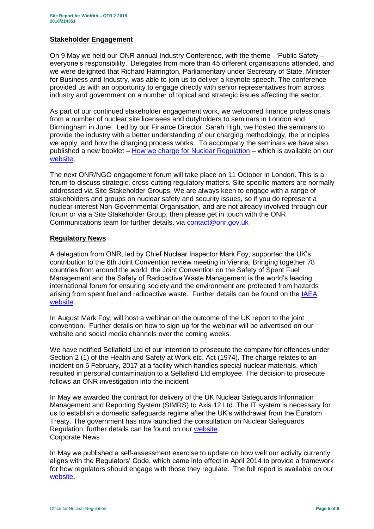#### **Stakeholder Engagement**

On 9 May we held our ONR annual Industry Conference, with the theme - 'Public Safety – everyone's responsibility.' Delegates from more than 45 different organisations attended, and we were delighted that Richard Harrington, Parliamentary under Secretary of State, Minister for Business and Industry, was able to join us to deliver a keynote speech. The conference provided us with an opportunity to engage directly with senior representatives from across industry and government on a number of topical and strategic issues affecting the sector.

As part of our continued stakeholder engagement work, we welcomed finance professionals from a number of nuclear site licensees and dutyholders to seminars in London and Birmingham in June. Led by our Finance Director, Sarah High, we hosted the seminars to provide the industry with a better understanding of our charging methodology, the principles we apply, and how the charging process works. To accompany the seminars we have also published a new booklet – [How we charge for Nuclear Regulation](http://www.onr.org.uk/documents/2018/how-we-charge-for-nuclear-regulation.pdf) – which is available on our [website.](http://www.onr.org.uk/documents/2018/how-we-charge-for-nuclear-regulation.pdf)

The next ONR/NGO engagement forum will take place on 11 October in London. This is a forum to discuss strategic, cross-cutting regulatory matters. Site specific matters are normally addressed via Site Stakeholder Groups. We are always keen to engage with a range of stakeholders and groups on nuclear safety and security issues, so if you do represent a nuclear-interest Non-Governmental Organisation, and are not already involved through our forum or via a Site Stakeholder Group, then please get in touch with the ONR Communications team for further details, via [contact@onr.gov.uk](mailto:contact@onr.gov.uk)

#### **Regulatory News**

A delegation from ONR, led by Chief Nuclear Inspector Mark Foy, supported the UK's contribution to the 6th Joint Convention review meeting in Vienna. Bringing together 78 countries from around the world, the Joint Convention on the Safety of Spent Fuel Management and the Safety of Radioactive Waste Management is the world's leading international forum for ensuring society and the environment are protected from hazards arising from spent fuel and radioactive waste. Further details can be found on the IAEA [website.](https://www.iaea.org/events/sixth-review-meeting-of-the-contracting-parties-to-the-joint-convention-on-the-safety-of-spent-fuel-management-and-on-the-safety-of-radioactive-waste-management-joint-convention)

In August Mark Foy, will host a webinar on the outcome of the UK report to the joint convention. Further details on how to sign up for the webinar will be advertised on our website and social media channels over the coming weeks.

We have notified Sellafield Ltd of our intention to prosecute the company for offences under Section 2 (1) of the Health and Safety at Work etc. Act (1974). The charge relates to an incident on 5 February, 2017 at a facility which handles special nuclear materials, which resulted in personal contamination to a Sellafield Ltd employee. The decision to prosecute follows an ONR investigation into the incident

In May we awarded the contract for delivery of the UK Nuclear Safeguards Information Management and Reporting System (SIMRS) to Axis 12 Ltd. The IT system is necessary for us to establish a domestic safeguards regime after the UK's withdrawal from the Euratom Treaty. The government has now launched the consultation on Nuclear Safeguards Regulation, further details can be found on our [website.](http://news.onr.org.uk/2018/07/government-consults-on-nuclear-safeguards-regulations/) Corporate News

In May we published a self-assessment exercise to update on how well our activity currently aligns with the Regulators' Code, which came into effect in April 2014 to provide a framework for how regulators should engage with those they regulate. The full report is available on our [website.](http://www.onr.org.uk/regulators-code.htm)